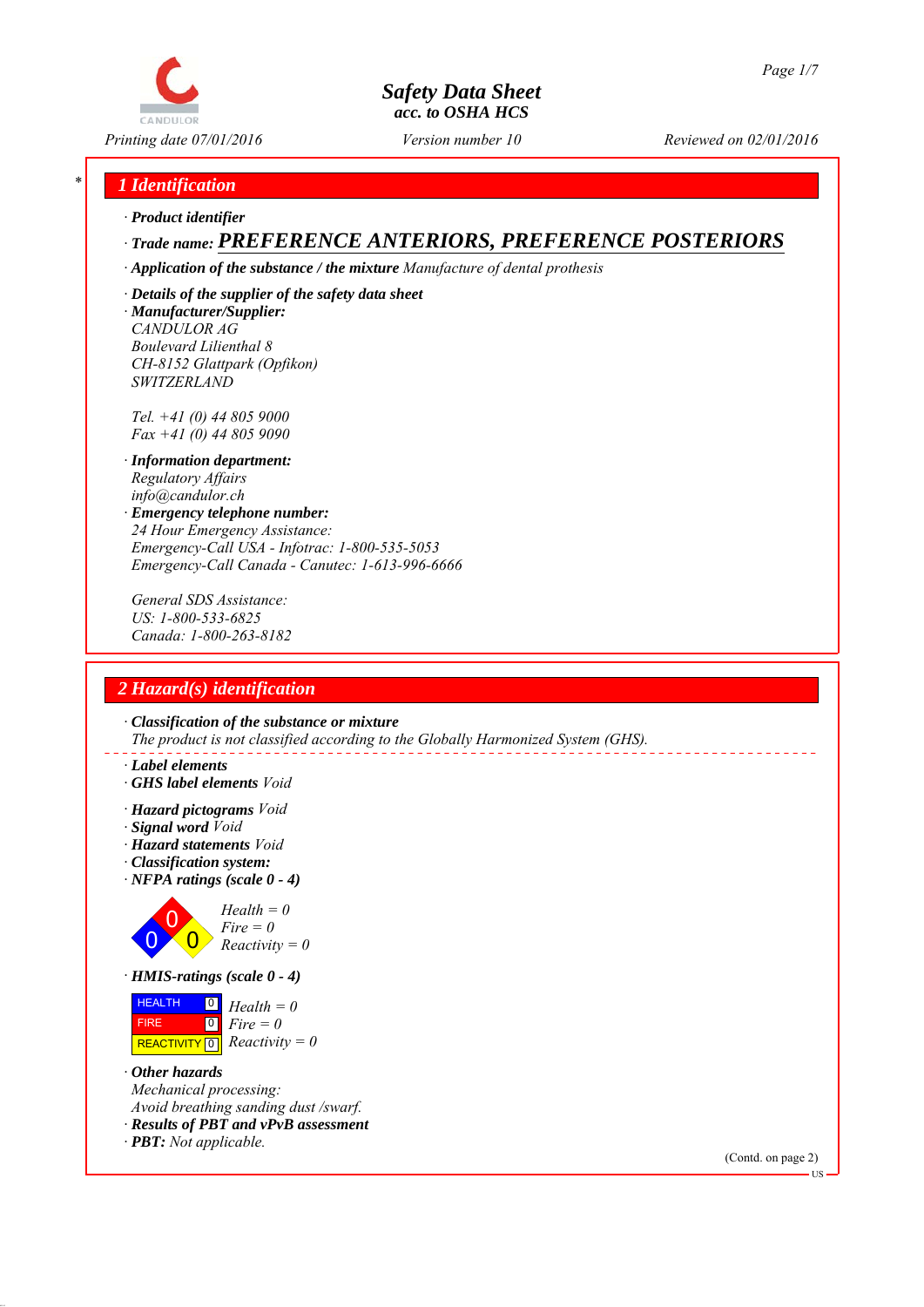

*Printing date 07/01/2016 Reviewed on 02/01/2016 Version number 10*

# *\* 1 Identification*

*∙ Product identifier*

# *∙ Trade name: PREFERENCE ANTERIORS, PREFERENCE POSTERIORS*

*∙ Application of the substance / the mixture Manufacture of dental prothesis*

*∙ Details of the supplier of the safety data sheet ∙ Manufacturer/Supplier: CANDULOR AG*

*Boulevard Lilienthal 8 CH-8152 Glattpark (Opfikon) SWITZERLAND*

*Tel. +41 (0) 44 805 9000 Fax +41 (0) 44 805 9090*

- *∙ Information department: Regulatory Affairs info@candulor.ch*
- *∙ Emergency telephone number: 24 Hour Emergency Assistance: Emergency-Call USA - Infotrac: 1-800-535-5053 Emergency-Call Canada - Canutec: 1-613-996-6666*

*General SDS Assistance: US: 1-800-533-6825 Canada: 1-800-263-8182*

# *2 Hazard(s) identification*

*∙ Classification of the substance or mixture The product is not classified according to the Globally Harmonized System (GHS).*

- *∙ Label elements*
- *∙ GHS label elements Void*
- *∙ Hazard pictograms Void*
- *∙ Signal word Void*
- *∙ Hazard statements Void*
- *∙ Classification system:*
- *∙ NFPA ratings (scale 0 4)*



*∙ HMIS-ratings (scale 0 - 4)*



- *∙ Other hazards Mechanical processing: Avoid breathing sanding dust /swarf.*
- *∙ Results of PBT and vPvB assessment*
- *∙ PBT: Not applicable.*

(Contd. on page 2)

**HS**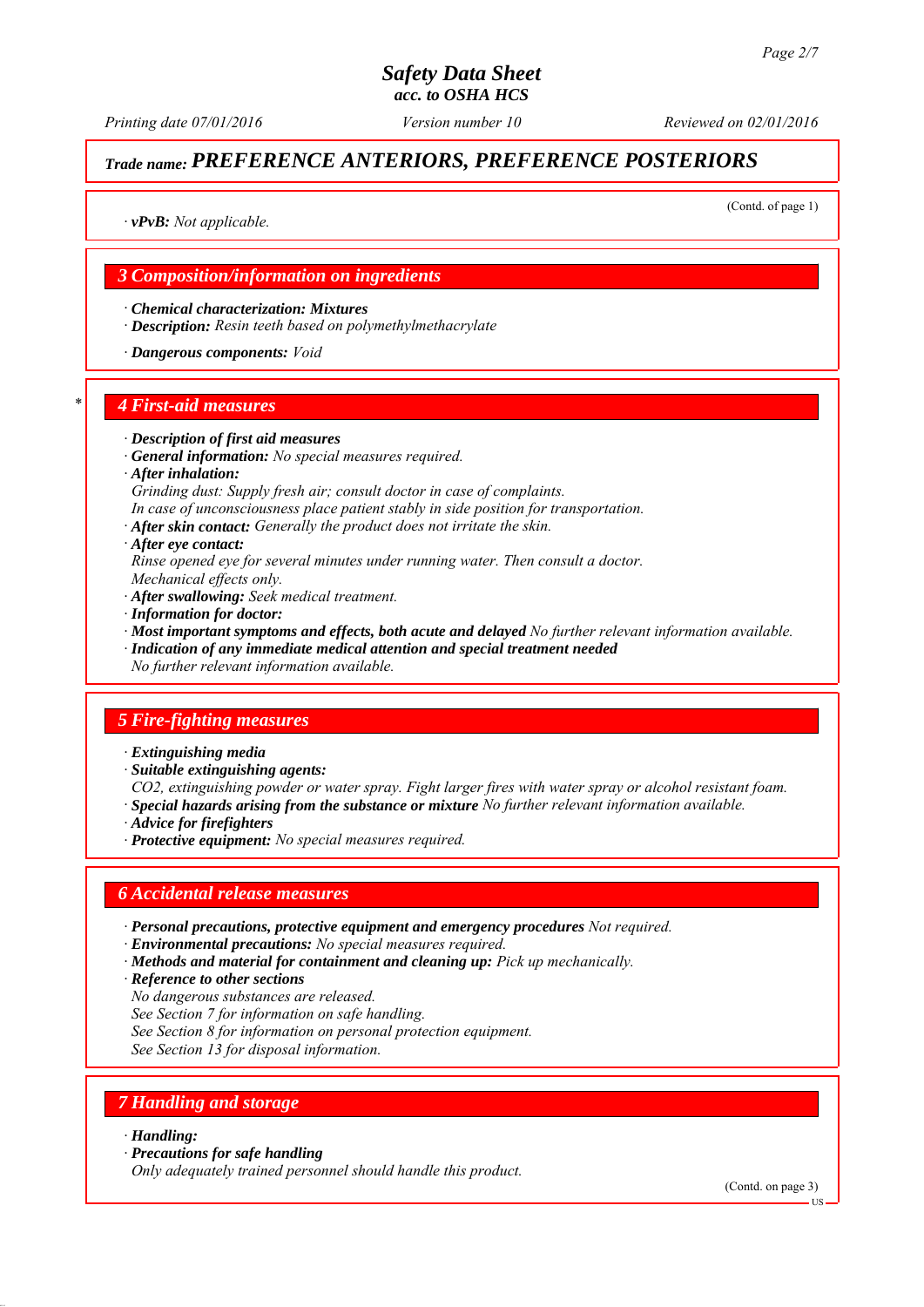*Printing date 07/01/2016 Reviewed on 02/01/2016 Version number 10*

# *Trade name: PREFERENCE ANTERIORS, PREFERENCE POSTERIORS*

(Contd. of page 1)

*∙ vPvB: Not applicable.*

# *3 Composition/information on ingredients*

*∙ Chemical characterization: Mixtures*

*∙ Description: Resin teeth based on polymethylmethacrylate*

*∙ Dangerous components: Void*

#### *\* 4 First-aid measures*

- *∙ Description of first aid measures*
- *∙ General information: No special measures required.*
- *∙ After inhalation:*
- *Grinding dust: Supply fresh air; consult doctor in case of complaints.*
- *In case of unconsciousness place patient stably in side position for transportation.*
- *∙ After skin contact: Generally the product does not irritate the skin.*
- *∙ After eye contact:*
- *Rinse opened eye for several minutes under running water. Then consult a doctor. Mechanical effects only.*
- *∙ After swallowing: Seek medical treatment.*
- *∙ Information for doctor:*
- *∙ Most important symptoms and effects, both acute and delayed No further relevant information available.*
- *∙ Indication of any immediate medical attention and special treatment needed*
- *No further relevant information available.*

## *5 Fire-fighting measures*

- *∙ Extinguishing media*
- *∙ Suitable extinguishing agents:*
- *CO2, extinguishing powder or water spray. Fight larger fires with water spray or alcohol resistant foam.*
- *∙ Special hazards arising from the substance or mixture No further relevant information available.*
- *∙ Advice for firefighters*
- *∙ Protective equipment: No special measures required.*

## *6 Accidental release measures*

- *∙ Personal precautions, protective equipment and emergency procedures Not required.*
- *∙ Environmental precautions: No special measures required.*
- *∙ Methods and material for containment and cleaning up: Pick up mechanically.*
- *∙ Reference to other sections*
- *No dangerous substances are released.*
- *See Section 7 for information on safe handling.*
- *See Section 8 for information on personal protection equipment.*
- *See Section 13 for disposal information.*

# *7 Handling and storage*

#### *∙ Handling:*

*∙ Precautions for safe handling*

*Only adequately trained personnel should handle this product.*

(Contd. on page 3)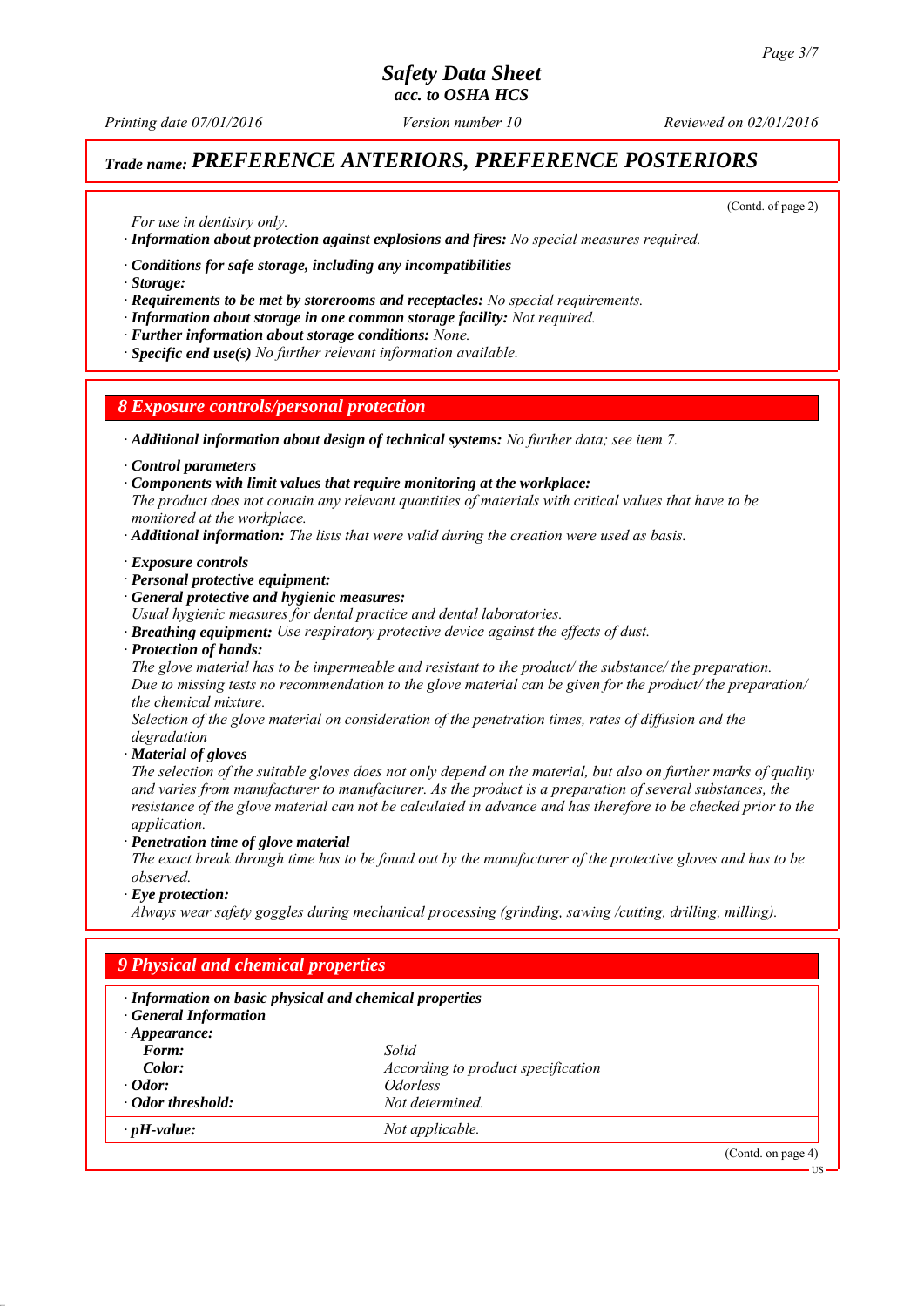*Printing date 07/01/2016 Reviewed on 02/01/2016 Version number 10*

# *Trade name: PREFERENCE ANTERIORS, PREFERENCE POSTERIORS*

(Contd. of page 2)

*For use in dentistry only.*

*∙ Information about protection against explosions and fires: No special measures required.*

*∙ Conditions for safe storage, including any incompatibilities*

*∙ Storage:*

*∙ Requirements to be met by storerooms and receptacles: No special requirements.*

*∙ Information about storage in one common storage facility: Not required.*

*∙ Further information about storage conditions: None.*

*∙ Specific end use(s) No further relevant information available.*

*8 Exposure controls/personal protection*

*∙ Additional information about design of technical systems: No further data; see item 7.*

*∙ Control parameters*

*∙ Components with limit values that require monitoring at the workplace:*

*The product does not contain any relevant quantities of materials with critical values that have to be monitored at the workplace.*

*∙ Additional information: The lists that were valid during the creation were used as basis.*

#### *∙ Exposure controls*

*∙ Personal protective equipment:*

*∙ General protective and hygienic measures:*

*Usual hygienic measures for dental practice and dental laboratories.*

- *∙ Breathing equipment: Use respiratory protective device against the effects of dust.*
- *∙ Protection of hands:*

*The glove material has to be impermeable and resistant to the product/ the substance/ the preparation. Due to missing tests no recommendation to the glove material can be given for the product/ the preparation/ the chemical mixture.*

*Selection of the glove material on consideration of the penetration times, rates of diffusion and the degradation*

*∙ Material of gloves*

*The selection of the suitable gloves does not only depend on the material, but also on further marks of quality and varies from manufacturer to manufacturer. As the product is a preparation of several substances, the resistance of the glove material can not be calculated in advance and has therefore to be checked prior to the application.*

*∙ Penetration time of glove material*

*The exact break through time has to be found out by the manufacturer of the protective gloves and has to be observed.*

*∙ Eye protection:*

*Always wear safety goggles during mechanical processing (grinding, sawing /cutting, drilling, milling).*

| · Information on basic physical and chemical properties<br><b>General Information</b> |                                    |  |  |
|---------------------------------------------------------------------------------------|------------------------------------|--|--|
| $\cdot$ Appearance:<br>Form:                                                          | Solid                              |  |  |
| Color:                                                                                | According to product specification |  |  |
| $\cdot$ Odor:                                                                         | <i><u><b>Odorless</b></u></i>      |  |  |
| · Odor threshold:                                                                     | Not determined.                    |  |  |
| $\cdot$ pH-value:                                                                     | Not applicable.                    |  |  |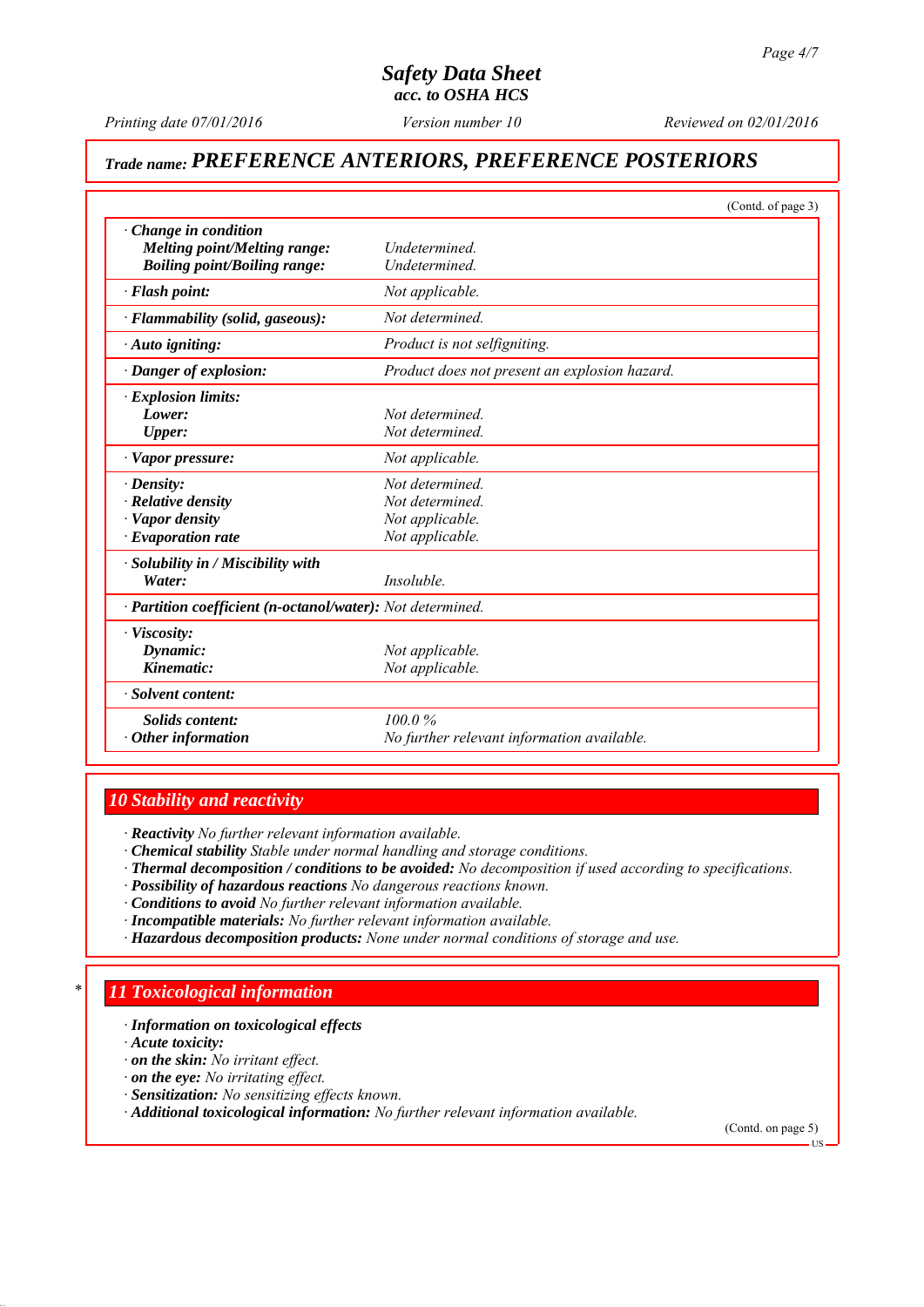*Printing date 07/01/2016 Reviewed on 02/01/2016 Version number 10*

# *Trade name: PREFERENCE ANTERIORS, PREFERENCE POSTERIORS*

|                                                                                                                  | (Contd. of page 3)                                                       |
|------------------------------------------------------------------------------------------------------------------|--------------------------------------------------------------------------|
| Change in condition<br><b>Melting point/Melting range:</b><br><b>Boiling point/Boiling range:</b>                | Undetermined.<br>Undetermined.                                           |
| · Flash point:                                                                                                   | Not applicable.                                                          |
| · Flammability (solid, gaseous):                                                                                 | Not determined                                                           |
| · Auto igniting:                                                                                                 | Product is not selfigniting.                                             |
| · Danger of explosion:                                                                                           | Product does not present an explosion hazard.                            |
| · Explosion limits:<br>Lower:<br><b>Upper:</b>                                                                   | Not determined<br>Not determined.                                        |
| · Vapor pressure:                                                                                                | Not applicable.                                                          |
| $\cdot$ Density:<br>$\cdot$ Relative density<br>· Vapor density<br>$\cdot$ Evaporation rate                      | Not determined.<br>Not determined.<br>Not applicable.<br>Not applicable. |
| $\cdot$ Solubility in / Miscibility with<br>Water:<br>· Partition coefficient (n-octanol/water): Not determined. | Insoluble.                                                               |
| · Viscosity:<br>Dynamic:<br>Kinematic:                                                                           | Not applicable.<br>Not applicable.                                       |
| · Solvent content:                                                                                               |                                                                          |
| Solids content:<br>$\cdot$ Other information                                                                     | 100.0%<br>No further relevant information available.                     |

# *10 Stability and reactivity*

*∙ Reactivity No further relevant information available.*

- *∙ Chemical stability Stable under normal handling and storage conditions.*
- *∙ Thermal decomposition / conditions to be avoided: No decomposition if used according to specifications.*
- *∙ Possibility of hazardous reactions No dangerous reactions known.*
- *∙ Conditions to avoid No further relevant information available.*
- *∙ Incompatible materials: No further relevant information available.*
- *∙ Hazardous decomposition products: None under normal conditions of storage and use.*

# *\* 11 Toxicological information*

*∙ Information on toxicological effects*

*∙ Acute toxicity:*

- *∙ on the skin: No irritant effect.*
- *∙ on the eye: No irritating effect.*
- *∙ Sensitization: No sensitizing effects known.*
- *∙ Additional toxicological information: No further relevant information available.*

(Contd. on page 5)

US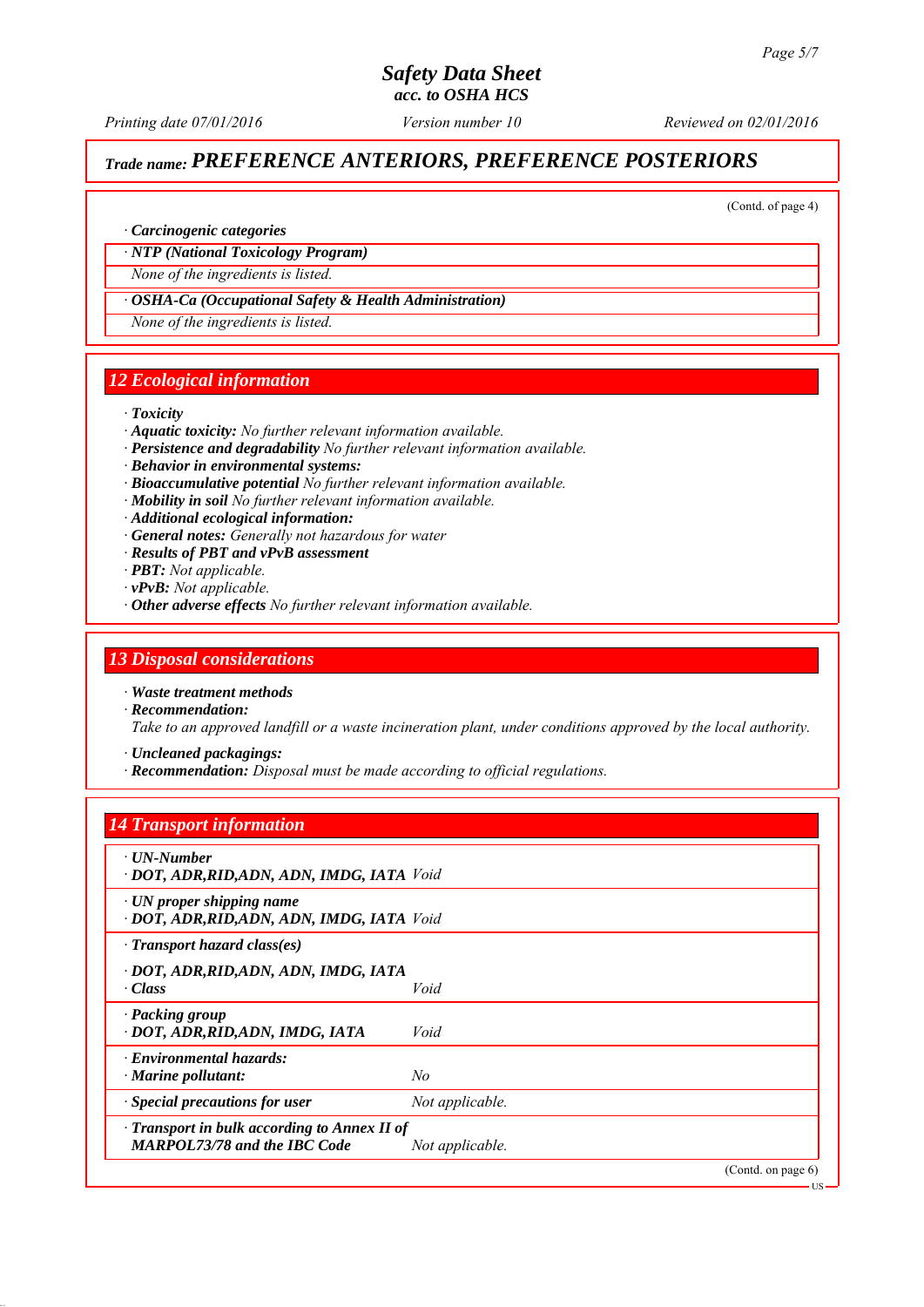*Printing date 07/01/2016 Reviewed on 02/01/2016 Version number 10*

# *Trade name: PREFERENCE ANTERIORS, PREFERENCE POSTERIORS*

(Contd. of page 4)

US

#### *∙ Carcinogenic categories*

#### *∙ NTP (National Toxicology Program)*

*None of the ingredients is listed.*

#### *∙ OSHA-Ca (Occupational Safety & Health Administration)*

*None of the ingredients is listed.*

## *12 Ecological information*

#### *∙ Toxicity*

- *∙ Aquatic toxicity: No further relevant information available.*
- *∙ Persistence and degradability No further relevant information available.*
- *∙ Behavior in environmental systems:*
- *∙ Bioaccumulative potential No further relevant information available.*
- *∙ Mobility in soil No further relevant information available.*
- *∙ Additional ecological information:*
- *∙ General notes: Generally not hazardous for water*
- *∙ Results of PBT and vPvB assessment*
- *∙ PBT: Not applicable.*
- *∙ vPvB: Not applicable.*
- *∙ Other adverse effects No further relevant information available.*

### *13 Disposal considerations*

*∙ Waste treatment methods*

- *∙ Recommendation: Take to an approved landfill or a waste incineration plant, under conditions approved by the local authority.*
- *∙ Uncleaned packagings:*
- *∙ Recommendation: Disposal must be made according to official regulations.*

## *14 Transport information*

| $\cdot$ UN-Number<br>· DOT, ADR, RID, ADN, ADN, IMDG, IATA Void                           |                 |                   |
|-------------------------------------------------------------------------------------------|-----------------|-------------------|
| $\cdot$ UN proper shipping name<br>· DOT, ADR, RID, ADN, ADN, IMDG, IATA Void             |                 |                   |
| $\cdot$ Transport hazard class(es)                                                        |                 |                   |
| · DOT, ADR, RID, ADN, ADN, IMDG, IATA<br>$\cdot Class$                                    | Void            |                   |
| · Packing group<br>· DOT, ADR, RID, ADN, IMDG, IATA                                       | Void            |                   |
| $\cdot$ Environmental hazards:<br>$\cdot$ Marine pollutant:                               | No              |                   |
| Special precautions for user                                                              | Not applicable. |                   |
| $\cdot$ Transport in bulk according to Annex II of<br><b>MARPOL73/78 and the IBC Code</b> | Not applicable. |                   |
|                                                                                           |                 | (Cond. on page 6) |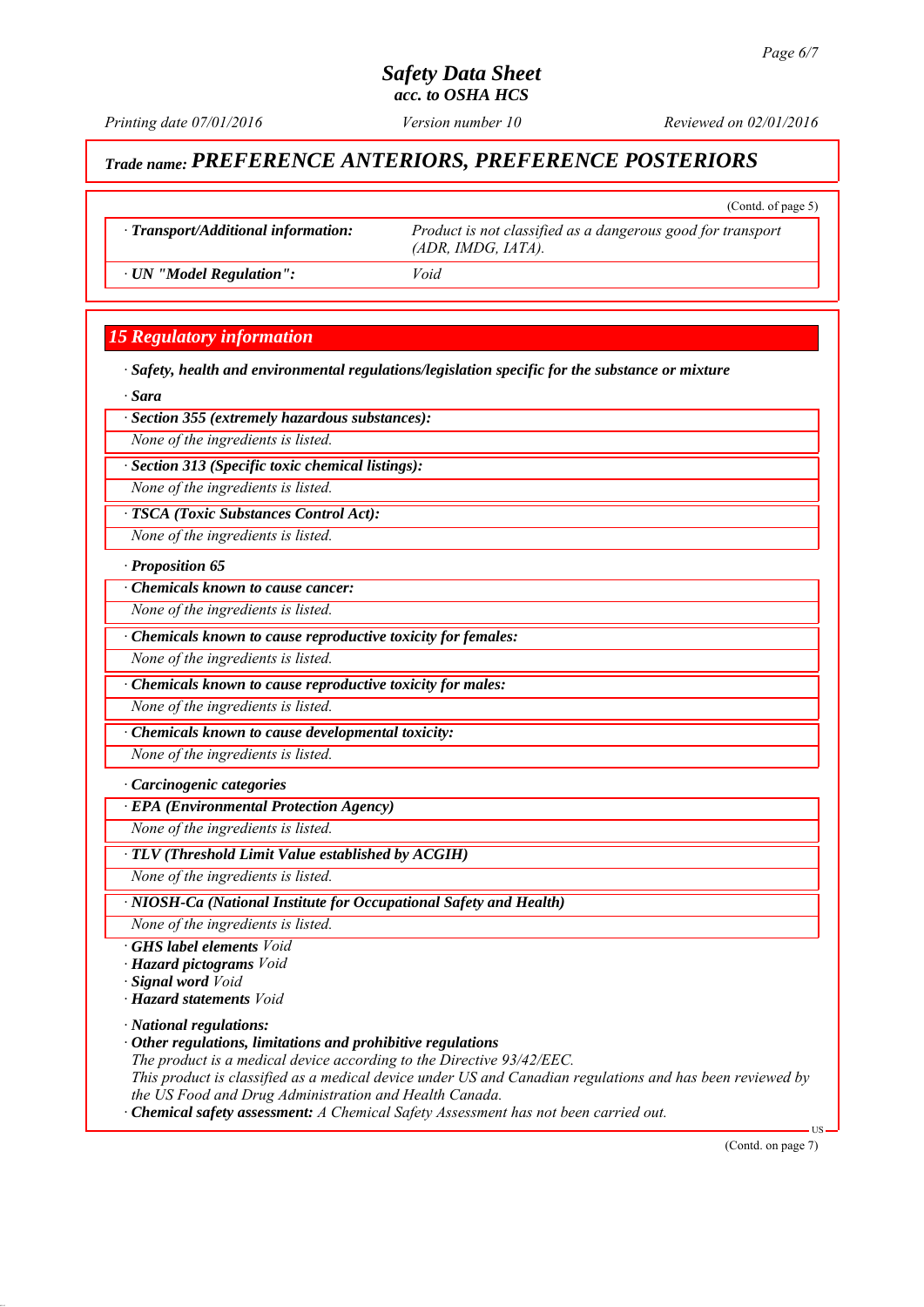*Printing date 07/01/2016 Reviewed on 02/01/2016 Version number 10*

(Contd. of page 5)

# *Trade name: PREFERENCE ANTERIORS, PREFERENCE POSTERIORS*

*∙ Transport/Additional information: Product is not classified as a dangerous good for transport (ADR, IMDG, IATA).*

*∙ UN "Model Regulation": Void*

# *15 Regulatory information*

*∙ Safety, health and environmental regulations/legislation specific for the substance or mixture*

*∙ Sara*

*∙ Section 355 (extremely hazardous substances):*

*None of the ingredients is listed.*

*∙ Section 313 (Specific toxic chemical listings):*

*None of the ingredients is listed.*

*∙ TSCA (Toxic Substances Control Act):*

*None of the ingredients is listed.*

*∙ Proposition 65*

*∙ Chemicals known to cause cancer:*

*None of the ingredients is listed.*

*∙ Chemicals known to cause reproductive toxicity for females:*

*None of the ingredients is listed.*

*∙ Chemicals known to cause reproductive toxicity for males:*

*None of the ingredients is listed.*

*∙ Chemicals known to cause developmental toxicity:*

*None of the ingredients is listed.*

*∙ Carcinogenic categories*

*∙ EPA (Environmental Protection Agency)*

*None of the ingredients is listed.*

*∙ TLV (Threshold Limit Value established by ACGIH)*

*None of the ingredients is listed.*

*∙ NIOSH-Ca (National Institute for Occupational Safety and Health)*

*None of the ingredients is listed.*

*∙ GHS label elements Void*

*∙ Hazard pictograms Void*

*∙ Signal word Void*

*∙ Hazard statements Void*

*∙ National regulations:*

*∙ Other regulations, limitations and prohibitive regulations*

*The product is a medical device according to the Directive 93/42/EEC.*

*This product is classified as a medical device under US and Canadian regulations and has been reviewed by the US Food and Drug Administration and Health Canada.*

*∙ Chemical safety assessment: A Chemical Safety Assessment has not been carried out.*

(Contd. on page 7)

US